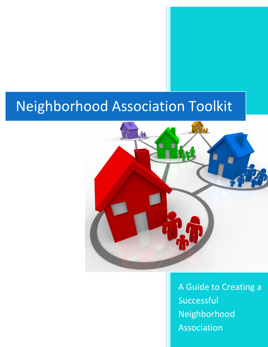# Neighborhood Association Toolkit



A Guide to Creating a Successful Neighborhood Association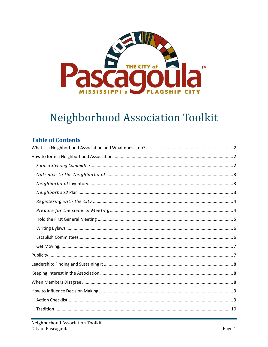

# Neighborhood Association Toolkit

### **Table of Contents**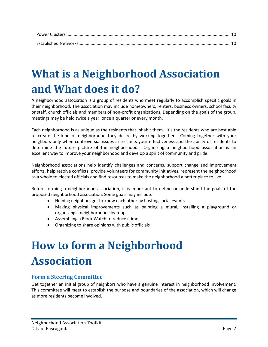# <span id="page-2-0"></span>**What is a Neighborhood Association and What does it do?**

A neighborhood association is a group of residents who meet regularly to accomplish specific goals in their neighborhood. The association may include homeowners, renters, business owners, school faculty or staff, church officials and members of non-profit organizations. Depending on the goals of the group, meetings may be held twice a year, once a quarter or every month.

Each neighborhood is as unique as the residents that inhabit them. It's the residents who are best able to create the kind of neighborhood they desire by working together. Coming together with your neighbors only when controversial issues arise limits your effectiveness and the ability of residents to determine the future picture of the neighborhood. Organizing a neighborhood association is an excellent way to improve your neighborhood and develop a spirit of community and pride.

Neighborhood associations help identify challenges and concerns, support change and improvement efforts, help resolve conflicts, provide volunteers for community initiatives, represent the neighborhood as a whole to elected officials and find resources to make the neighborhood a better place to live.

Before forming a neighborhood association, it is important to define or understand the goals of the proposed neighborhood association. Some goals may include:

- Helping neighbors get to know each other by hosting social events
- Making physical improvements such as painting a mural, installing a playground or organizing a neighborhood clean-up
- Assembling a Block Watch to reduce crime
- Organizing to share opinions with public officials

# <span id="page-2-1"></span>**How to form a Neighborhood Association**

### <span id="page-2-2"></span>**Form a Steering Committee**

Get together an initial group of neighbors who have a genuine interest in neighborhood involvement. This committee will meet to establish the purpose and boundaries of the association, which will change as more residents become involved.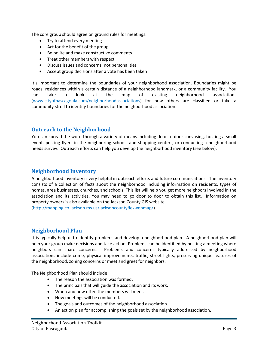The core group should agree on ground rules for meetings:

- Try to attend every meeting
- Act for the benefit of the group
- Be polite and make constructive comments
- Treat other members with respect
- Discuss issues and concerns, not personalities
- Accept group decisions after a vote has been taken

It's important to determine the boundaries of your neighborhood association. Boundaries might be roads, residences within a certain distance of a neighborhood landmark, or a community facility. You can take a look at the map of existing neighborhood associations [\(www.cityofpascagoula.com/neighborhoodassociations\)](http://www.cityofpascagoula.com/neighborhoodassociations) for how others are classified or take a community stroll to identify boundaries for the neighborhood association.

#### <span id="page-3-0"></span>**Outreach to the Neighborhood**

<span id="page-3-1"></span>You can spread the word through a variety of means including door to door canvasing, hosting a small event, posting flyers in the neighboring schools and shopping centers, or conducting a neighborhood needs survey. Outreach efforts can help you develop the neighborhood inventory (see below).

#### **Neighborhood Inventory**

A neighborhood inventory is very helpful in outreach efforts and future communications. The inventory consists of a collection of facts about the neighborhood including information on residents, types of homes, area businesses, churches, and schools. This list will help you get more neighbors involved in the association and its activities. You may need to go door to door to obtain this list. Information on property owners is also available on the Jackson County GIS website

<span id="page-3-2"></span>[\(http://mapping.co.jackson.ms.us/jacksoncountyflexwebmap/\)](http://mapping.co.jackson.ms.us/jacksoncountyflexwebmap/).

#### **Neighborhood Plan**

It is typically helpful to identify problems and develop a neighborhood plan. A neighborhood plan will help your group make decisions and take action. Problems can be identified by hosting a meeting where neighbors can share concerns. Problems and concerns typically addressed by neighborhood associations include crime, physical improvements, traffic, street lights, preserving unique features of the neighborhood, zoning concerns or meet and greet for neighbors.

The Neighborhood Plan should include:

- The reason the association was formed.
- The principals that will guide the association and its work.
- When and how often the members will meet.
- How meetings will be conducted.
- The goals and outcomes of the neighborhood association.
- An action plan for accomplishing the goals set by the neighborhood association.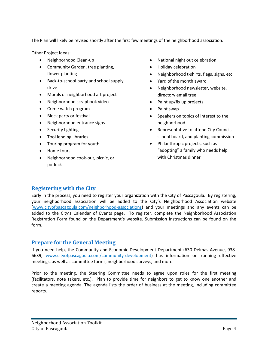The Plan will likely be revised shortly after the first few meetings of the neighborhood association.

Other Project Ideas:

- Neighborhood Clean-up
- Community Garden, tree planting, flower planting
- Back-to-school party and school supply drive
- Murals or neighborhood art project
- Neighborhood scrapbook video
- Crime watch program
- Block party or festival
- Neighborhood entrance signs
- Security lighting
- Tool lending libraries
- Touring program for youth
- Home tours
- <span id="page-4-0"></span> Neighborhood cook-out, picnic, or potluck
- National night out celebration
- Holiday celebration
- Neighborhood t-shirts, flags, signs, etc.
- Yard of the month award
- Neighborhood newsletter, website, directory email tree
- Paint up/fix up projects
- Paint swap
- Speakers on topics of interest to the neighborhood
- Representative to attend City Council, school board, and planting commission
- Philanthropic projects, such as "adopting" a family who needs help with Christmas dinner

### **Registering with the City**

Early in the process, you need to register your organization with the City of Pascagoula. By registering, your neighborhood association will be added to the City's Neighborhood Association website [\(www.cityofpascagoula.com/neighborhood-associations\)](http://www.cityofpascagoula.com/community-development) and your meetings and any events can be added to the City's Calendar of Events page. To register, complete the Neighborhood Association Registration Form found on the Department's website. Submission instructions can be found on the form.

#### <span id="page-4-1"></span>**Prepare for the General Meeting**

If you need help, the Community and Economic Development Department (630 Delmas Avenue, 938- 6639, [www.cityofpascagoula.com/community-development\)](http://www.cityofpascagoula.com/community-development) has information on running effective meetings, as well as committee forms, neighborhood surveys, and more.

Prior to the meeting, the Steering Committee needs to agree upon roles for the first meeting (facilitators, note takers, etc.). Plan to provide time for neighbors to get to know one another and create a meeting agenda. The agenda lists the order of business at the meeting, including committee reports.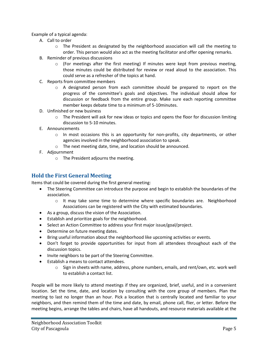Example of a typical agenda:

- A. Call to order
	- $\circ$  The President as designated by the neighborhood association will call the meeting to order. This person would also act as the meeting facilitator and offer opening remarks.
- B. Reminder of previous discussions
	- $\circ$  (For meetings after the first meeting) If minutes were kept from previous meeting, those minutes could be distributed for review or read aloud to the association. This could serve as a refresher of the topics at hand.
- C. Reports from committee members
	- $\circ$  A designated person from each committee should be prepared to report on the progress of the committee's goals and objectives. The individual should allow for discussion or feedback from the entire group. Make sure each reporting committee member keeps debate time to a minimum of 5-10minutes.
- D. Unfinished or new business
	- $\circ$  The President will ask for new ideas or topics and opens the floor for discussion limiting discussion to 5-10 minutes.
- E. Announcements
	- $\circ$  In most occasions this is an opportunity for non-profits, city departments, or other agencies involved in the neighborhood association to speak.
	- o The next meeting date, time, and location should be announced.
- F. Adjournment
	- o The President adjourns the meeting.

### <span id="page-5-0"></span>**Hold the First General Meeting**

Items that could be covered during the first general meeting:

- The Steering Committee can introduce the purpose and begin to establish the boundaries of the association.
	- $\circ$  It may take some time to determine where specific boundaries are. Neighborhood Associations can be registered with the City with estimated boundaries.
- As a group, discuss the vision of the Association.
- Establish and prioritize goals for the neighborhood.
- Select an Action Committee to address your first major issue/goal/project.
- Determine on future meeting dates.
- Bring useful information about the neighborhood like upcoming activities or events.
- Don't forget to provide opportunities for input from all attendees throughout each of the discussion topics.
- Invite neighbors to be part of the Steering Committee.
- Establish a means to contact attendees.
	- $\circ$  Sign in sheets with name, address, phone numbers, emails, and rent/own, etc. work well to establish a contact list.

People will be more likely to attend meetings if they are organized, brief, useful, and in a convenient location. Set the time, date, and location by consulting with the core group of members. Plan the meeting to last no longer than an hour. Pick a location that is centrally located and familiar to your neighbors, and then remind them of the time and date, by email, phone call, flier, or letter. Before the meeting begins, arrange the tables and chairs, have all handouts, and resource materials available at the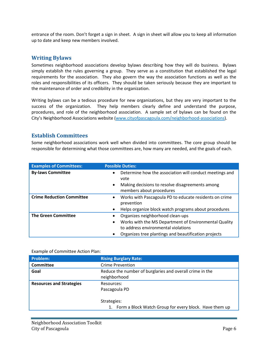entrance of the room. Don't forget a sign in sheet. A sign in sheet will allow you to keep all information up to date and keep new members involved.

#### <span id="page-6-0"></span>**Writing Bylaws**

Sometimes neighborhood associations develop bylaws describing how they will do business. Bylaws simply establish the rules governing a group. They serve as a constitution that established the legal requirements for the association. They also govern the way the association functions as well as the roles and responsibilities of its officers. They should be taken seriously because they are important to the maintenance of order and credibility in the organization.

Writing bylaws can be a tedious procedure for new organizations, but they are very important to the success of the organization. They help members clearly define and understand the purpose, procedures, and role of the neighborhood association. A sample set of bylaws can be found on the City's Neighborhood Associations website ([www.cityofpascagoula.com/neighborhood-associations\)](http://www.cityofpascagoula.com/community-development).

#### <span id="page-6-1"></span>**Establish Committees**

Some neighborhood associations work well when divided into committees. The core group should be responsible for determining what those committees are, how many are needed, and the goals of each.

| <b>Examples of Committees:</b>   | <b>Possible Duties:</b>                                              |
|----------------------------------|----------------------------------------------------------------------|
| <b>By-laws Committee</b>         | Determine how the association will conduct meetings and<br>vote      |
|                                  | Making decisions to resolve disagreements among<br>$\bullet$         |
|                                  | members about procedures                                             |
| <b>Crime Reduction Committee</b> | Works with Pascagoula PD to educate residents on crime<br>prevention |
|                                  |                                                                      |
|                                  | Helps organize block watch programs about procedures                 |
| <b>The Green Committee</b>       | Organizes neighborhood clean-ups                                     |
|                                  | Works with the MS Department of Environmental Quality<br>٠           |
|                                  | to address environmental violations                                  |
|                                  | Organizes tree plantings and beautification projects                 |

#### Example of Committee Action Plan:

| Problem:                        | <b>Rising Burglary Rate:</b>                                             |
|---------------------------------|--------------------------------------------------------------------------|
| <b>Committee</b>                | Crime Prevention                                                         |
| Goal                            | Reduce the number of burglaries and overall crime in the<br>neighborhood |
| <b>Resources and Strategies</b> | Resources:<br>Pascagoula PD                                              |
|                                 | Strategies:<br>Form a Block Watch Group for every block. Have them up    |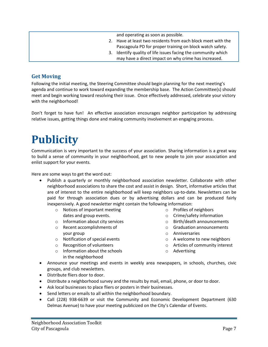and operating as soon as possible.

- 2. Have at least two residents from each block meet with the Pascagoula PD for proper training on block watch safety.
- 3. Identify quality of life issues facing the community which may have a direct impact on why crime has increased.

### <span id="page-7-0"></span>**Get Moving**

Following the initial meeting, the Steering Committee should begin planning for the next meeting's agenda and continue to work toward expanding the membership base. The Action Committee(s) should meet and begin working toward resolving their issue. Once effectively addressed, celebrate your victory with the neighborhood!

Don't forget to have fun! An effective association encourages neighbor participation by addressing relative issues, getting things done and making community involvement an engaging process.

# <span id="page-7-1"></span>**Publicity**

Communication is very important to the success of your association. Sharing information is a great way to build a sense of community in your neighborhood, get to new people to join your association and enlist support for your events.

Here are some ways to get the word out:

- Publish a quarterly or monthly neighborhood association newsletter. Collaborate with other neighborhood associations to share the cost and assist in design. Short, informative articles that are of interest to the entire neighborhood will keep neighbors up-to-date. Newsletters can be paid for through association dues or by advertising dollars and can be produced fairly inexpensively. A good newsletter might contain the following information:
	- o Notices of important meeting dates and group events.
	- o Information about city services
	- o Recent accomplishments of your group
	- o Notification of special events
	- o Recognition of volunteers
	- o Information about the schools in the neighborhood
- o Profiles of neighbors
- o Crime/safety information
- o Birth/death announcements
- o Graduation announcements
- o Anniversaries
- o A welcome to new neighbors
- o Articles of community interest
- o Advertising
- Announce your meetings and events in weekly area newspapers, in schools, churches, civic groups, and club newsletters.
- Distribute fliers door to door.
- Distribute a neighborhood survey and the results by mail, email, phone, or door to door.
- Ask local businesses to place fliers or posters in their businesses.
- Send letters or emails to all within the neighborhood boundary.
- Call (228) 938-6639 or visit the Community and Economic Development Department (630 Delmas Avenue) to have your meeting publicized on the City's Calendar of Events.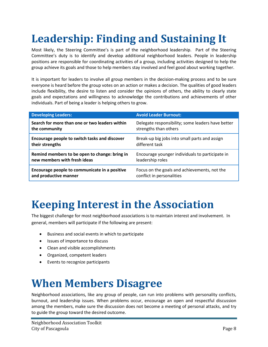# <span id="page-8-0"></span>**Leadership: Finding and Sustaining It**

Most likely, the Steering Committee's is part of the neighborhood leadership. Part of the Steering Committee's duty is to identify and develop additional neighborhood leaders. People in leadership positions are responsible for coordinating activities of a group, including activities designed to help the group achieve its goals and those to help members stay involved and feel good about working together.

It is important for leaders to involve all group members in the decision-making process and to be sure everyone is heard before the group votes on an action or makes a decision. The qualities of good leaders include flexibility, the desire to listen and consider the opinions of others, the ability to clearly state goals and expectations and willingness to acknowledge the contributions and achievements of other individuals. Part of being a leader is helping others to grow.

| <b>Developing Leaders:</b>                     | <b>Avoid Leader Burnout:</b>                      |
|------------------------------------------------|---------------------------------------------------|
| Search for more than one or two leaders within | Delegate responsibility; some leaders have better |
| the community                                  | strengths than others                             |
| Encourage people to switch tasks and discover  | Break-up big jobs into small parts and assign     |
| their strengths                                | different task                                    |
| Remind members to be open to change: bring in  | Encourage younger individuals to participate in   |
| new members with fresh ideas                   | leadership roles                                  |
| Encourage people to communicate in a positive  | Focus on the goals and achievements, not the      |
| and productive manner                          | conflict in personalities                         |

## <span id="page-8-1"></span>**Keeping Interest in the Association**

The biggest challenge for most neighborhood associations is to maintain interest and involvement. In general, members will participate if the following are present:

- Business and social events in which to participate
- Issues of importance to discuss
- Clean and visible accomplishments
- Organized, competent leaders
- Events to recognize participants

## <span id="page-8-2"></span>**When Members Disagree**

Neighborhood associations, like any group of people, can run into problems with personality conflicts, burnout, and leadership issues. When problems occur, encourage an open and respectful discussion among the members, make sure the discussion does not become a meeting of personal attacks, and try to guide the group toward the desired outcome.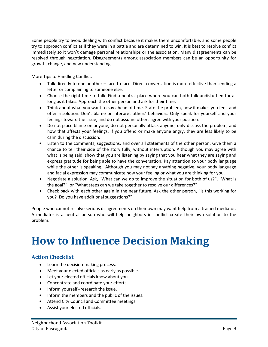Some people try to avoid dealing with conflict because it makes them uncomfortable, and some people try to approach conflict as if they were in a battle and are determined to win. It is best to resolve conflict immediately so it won't damage personal relationships or the association. Many disagreements can be resolved through negotiation. Disagreements among association members can be an opportunity for growth, change, and new understanding.

More Tips to Handling Conflict:

- Talk directly to one another face to face. Direct conversation is more effective than sending a letter or complaining to someone else.
- Choose the right time to talk. Find a neutral place where you can both talk undisturbed for as long as it takes. Approach the other person and ask for their time.
- Think about what you want to say ahead of time. State the problem, how it makes you feel, and offer a solution. Don't blame or interpret others' behaviors. Only speak for yourself and your feelings toward the issue, and do not assume others agree with your position.
- Do not place blame on anyone, do not personally attack anyone, only discuss the problem, and how that affects your feelings. If you offend or make anyone angry, they are less likely to be calm during the discussion.
- Listen to the comments, suggestions, and over all statements of the other person. Give them a chance to tell their side of the story fully, without interruption. Although you may agree with what is being said, show that you are listening by saying that you hear what they are saying and express gratitude for being able to have the conversation. Pay attention to your body language while the other is speaking. Although you may not say anything negative, your body language and facial expression may communicate how your feeling or what you are thinking for you.
- Negotiate a solution. Ask, "What can we do to improve the situation for both of us?", "What is the goal?", or "What steps can we take together to resolve our differences?"
- Check back with each other again in the near future. Ask the other person, "Is this working for you? Do you have additional suggestions?"

People who cannot resolve serious disagreements on their own may want help from a trained mediator. A mediator is a neutral person who will help neighbors in conflict create their own solution to the problem.

# <span id="page-9-0"></span>**How to Influence Decision Making**

### <span id="page-9-1"></span>**Action Checklist**

- Learn the decision-making process.
- Meet your elected officials as early as possible.
- Let your elected officials know about you.
- Concentrate and coordinate your efforts.
- Inform yourself--research the issue.
- Inform the members and the public of the issues.
- Attend City Council and Committee meetings.
- Assist your elected officials.